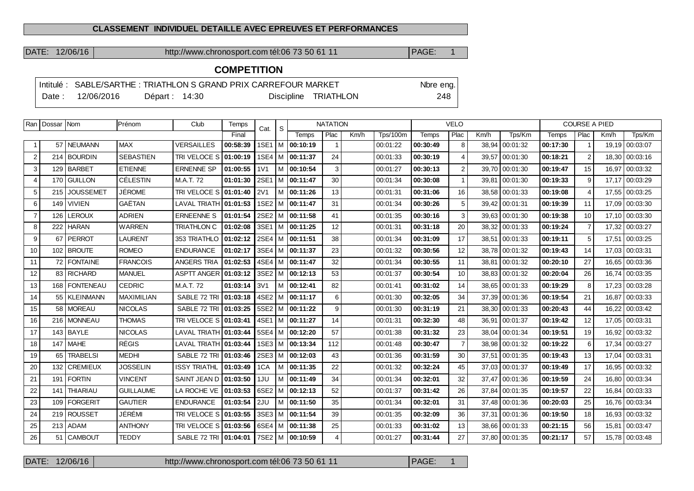#### **CLASSEMENT INDIVIDUEL DETAILLE AVEC EPREUVES ET PERFORMANCES**

DATE: 12/06/16 http://www.chronosport.com tél:06 73 50 61 11 PAGE: 1

## **COMPETITION**

|        | Intitulé : SABLE/SARTHE : TRIATHLON S GRAND PRIX CARREFOUR MARKET |                |  |                      | Nbre eng. |
|--------|-------------------------------------------------------------------|----------------|--|----------------------|-----------|
| Date : | 12/06/2016                                                        | Départ : 14:30 |  | Discipline TRIATHLON | 248       |

|                | Ran   Dossar   Nom |                 | Prénom           | Club                  | Temps    | Cat.             | S |                       | <b>NATATION</b> |      |                 |          | <b>VELO</b>    |       |                |          | <b>COURSE A PIED</b> |       |                |
|----------------|--------------------|-----------------|------------------|-----------------------|----------|------------------|---|-----------------------|-----------------|------|-----------------|----------|----------------|-------|----------------|----------|----------------------|-------|----------------|
|                |                    |                 |                  |                       | Final    |                  |   | Temps                 | Plac            | Km/h | <b>Tps/100m</b> | Temps    | Plac           | Km/h  | Tps/Km         | Temps    | Plac                 | Km/h  | Tps/Km         |
| -1             |                    | 57 NEUMANN      | <b>MAX</b>       | <b>VERSAILLES</b>     | 00:58:39 |                  |   | 1SE1   M   00:10:19   |                 |      | 00:01:22        | 00:30:49 | 8              |       | 38,94 00:01:32 | 00:17:30 | -1                   | 19.19 | 00:03:07       |
| $\overline{2}$ |                    | 214 BOURDIN     | <b>SEBASTIEN</b> | TRI VELOCE S          | 01:00:19 |                  |   | 1SE4   M   00:11:37   | 24              |      | 00:01:33        | 00:30:19 | 4              |       | 39,57 00:01:30 | 00:18:21 | 2                    | 18,30 | 00:03:16       |
| 3              |                    | 129 BARBET      | <b>ETIENNE</b>   | <b>ERNENNE SP</b>     | 01:00:55 | 1 <sub>V</sub> 1 |   | M 100:10:54           | 3               |      | 00:01:27        | 00:30:13 | $\overline{2}$ |       | 39,70 00:01:30 | 00:19:47 | 15                   | 16,97 | 00:03:32       |
| $\overline{4}$ |                    | 170 GUILLON     | <b>CÉLESTIN</b>  | M.A.T. 72             | 01:01:30 |                  |   | 2SE1   M   00:11:47   | 30              |      | 00:01:34        | 00:30:08 | -1             |       | 39,81 00:01:30 | 00:19:33 | 9                    | 17,17 | 00:03:29       |
| 5              |                    | 215 JOUSSEMET   | <b>JÉROME</b>    | TRI VELOCE S 01:01:40 |          | <b>2V1</b>       |   | M 100:11:26           | 13              |      | 00:01:31        | 00:31:06 | 16             |       | 38,58 00:01:33 | 00:19:08 | $\overline{4}$       | 17.55 | 00:03:25       |
| 6              |                    | 149 VIVIEN      | GAËTAN           | <b>LAVAL TRIATH</b>   | 01:01:53 |                  |   | 1SE2   M   00:11:47   | 31              |      | 00:01:34        | 00:30:26 | 5              |       | 39,42 00:01:31 | 00:19:39 | 11                   | 17.09 | 00:03:30       |
| $\overline{7}$ | 126                | <b>LEROUX</b>   | <b>ADRIEN</b>    | <b>ERNEENNE S</b>     | 01:01:54 |                  |   | 2SE2   M   00:11:58   | 41              |      | 00:01:35        | 00:30:16 | 3              |       | 39.63 00:01:30 | 00:19:38 | 10                   | 17.10 | 00:03:30       |
| 8              |                    | 222 HARAN       | <b>WARREN</b>    | <b>TRIATHLON C</b>    | 01:02:08 |                  |   | 3SE1 M 00:11:25       | 12              |      | 00:01:31        | 00:31:18 | 20             |       | 38,32 00:01:33 | 00:19:24 | $\overline{7}$       |       | 17,32 00:03:27 |
| 9              |                    | 67   PERROT     | <b>LAURENT</b>   | 353 TRIATHLO          | 01:02:12 |                  |   | 2SE4   M   00:11:51   | 38              |      | 00:01:34        | 00:31:09 | 17             |       | 38,51 00:01:33 | 00:19:11 | $5\phantom{.0}$      | 17,51 | 00:03:25       |
| 10             |                    | 102 BROUTE      | <b>ROMEO</b>     | <b>ENDURANCE</b>      | 01:02:17 |                  |   | 3SE4   M   00:11:37   | 23              |      | 00:01:32        | 00:30:56 | 12             |       | 38.78 00:01:32 | 00:19:43 | 14                   | 17.03 | 00:03:31       |
| 11             |                    | 72   FONTAINE   | <b>FRANCOIS</b>  | ANGERS TRIA           | 01:02:53 |                  |   | 4SE4   M   00:11:47   | 32              |      | 00:01:34        | 00:30:55 | 11             |       | 38.81 00:01:32 | 00:20:10 | 27                   | 16.65 | 00:03:36       |
| 12             |                    | 83 RICHARD      | <b>MANUEL</b>    | <b>ASPTT ANGER</b>    | 01:03:12 |                  |   | 3SE2   M   00:12:13   | 53              |      | 00:01:37        | 00:30:54 | 10             |       | 38.83 00:01:32 | 00:20:04 | 26                   | 16.74 | 00:03:35       |
| 13             |                    | 168   FONTENEAU | <b>CEDRIC</b>    | M.A.T. 72             | 01:03:14 | 3V1              |   | M   00:12:41          | 82              |      | 00:01:41        | 00:31:02 | 14             |       | 38,65 00:01:33 | 00:19:29 | 8                    | 17,23 | 00:03:28       |
| 14             |                    | 55   KLEINMANN  | MAXIMILIAN       | SABLE 72 TRI          | 01:03:18 |                  |   | 4SE2   M   00:11:17   | 6               |      | 00:01:30        | 00:32:05 | 34             |       | 37,39 00:01:36 | 00:19:54 | 21                   | 16.87 | 00:03:33       |
| 15             |                    | 58   MOREAU     | <b>NICOLAS</b>   | SABLE 72 TRI          | 01:03:25 |                  |   | 5SE2   M   00:11:22   | 9               |      | 00:01:30        | 00:31:19 | 21             |       | 38,30 00:01:33 | 00:20:43 | 44                   | 16,22 | 00:03:42       |
| 16             |                    | 216   MONNEAU   | <b>THOMAS</b>    | TRI VELOCE S          | 01:03:41 |                  |   | 4SE1   M   00:11:27   | 14              |      | 00:01:31        | 00:32:30 | 48             |       | 36,91 00:01:37 | 00:19:42 | 12                   | 17,05 | 00:03:31       |
| 17             |                    | 143 BAYLE       | <b>NICOLAS</b>   | LAVAL TRIATH 01:03:44 |          |                  |   | 5SE4   M   00:12:20   | 57              |      | 00:01:38        | 00:31:32 | 23             |       | 38,04 00:01:34 | 00:19:51 | 19                   | 16.92 | 00:03:32       |
| 18             |                    | $147$ MAHE      | <b>RÉGIS</b>     | <b>LAVAL TRIATH</b>   | 01:03:44 |                  |   | 1SE3   M   00:13:34   | 112             |      | 00:01:48        | 00:30:47 | $\overline{7}$ |       | 38,98 00:01:32 | 00:19:22 | 6                    | 17.34 | 00:03:27       |
| 19             | 65                 | <b>TRABELSI</b> | <b>MEDHI</b>     | SABLE 72 TRI          | 01:03:46 |                  |   | 2SE3   M   00:12:03   | 43              |      | 00:01:36        | 00:31:59 | 30             |       | 37.51 00:01:35 | 00:19:43 | 13                   | 17.04 | 00:03:31       |
| 20             |                    | 132 CREMIEUX    | <b>JOSSELIN</b>  | <b>ISSY TRIATHL</b>   | 01:03:49 | 1CA              |   | M 100:11:35           | 22              |      | 00:01:32        | 00:32:24 | 45             |       | 37.03 00:01:37 | 00:19:49 | 17                   | 16.95 | 00:03:32       |
| 21             |                    | 191 FORTIN      | <b>VINCENT</b>   | SAINT JEAN D          | 01:03:50 | 1JU              |   | M   00:11:49          | 34              |      | 00:01:34        | 00:32:01 | 32             |       | 37,47 00:01:36 | 00:19:59 | 24                   | 16.80 | 00:03:34       |
| 22             | 141                | <b>THIARIAU</b> | <b>GUILLAUME</b> | LA ROCHE VE           | 01:03:53 |                  |   | 6SE2   M $ $ 00:12:13 | 52              |      | 00:01:37        | 00:31:42 | 26             | 37.84 | 00:01:35       | 00:19:57 | 22                   | 16.84 | 00:03:33       |
| 23             |                    | 109   FORGERIT  | <b>GAUTIER</b>   | <b>ENDURANCE</b>      | 01:03:54 | 2JU              |   | M 100:11:50           | 35              |      | 00:01:34        | 00:32:01 | 31             |       | 37,48 00:01:36 | 00:20:03 | 25                   | 16.76 | 00:03:34       |
| 24             |                    | 219 ROUSSET     | JÉRÉMI           | TRI VELOCE S          | 01:03:55 |                  |   | 3SE3   M   00:11:54   | 39              |      | 00:01:35        | 00:32:09 | 36             |       | 37,31 00:01:36 | 00:19:50 | 18                   | 16.93 | 00:03:32       |
| 25             |                    | $213$ ADAM      | <b>ANTHONY</b>   | TRI VELOCE S          | 01:03:56 |                  |   | 6SE4   M   00:11:38   | 25              |      | 00:01:33        | 00:31:02 | 13             |       | 38,66 00:01:33 | 00:21:15 | 56                   | 15,81 | 00:03:47       |
| 26             |                    | 51   CAMBOUT    | <b>TEDDY</b>     | SABLE 72 TRI 01:04:01 |          |                  |   | 7SE2   M   00:10:59   |                 |      | 00:01:27        | 00:31:44 | 27             |       | 37,80 00:01:35 | 00:21:17 | 57                   | 15,78 | 00:03:48       |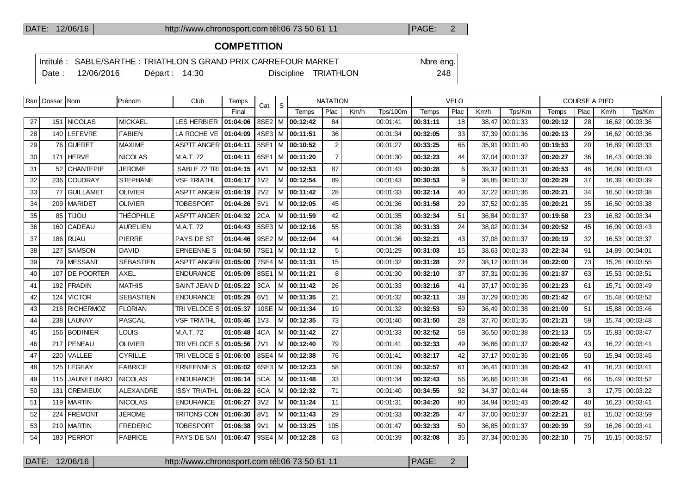## **COMPETITION**

|  |                                |                 | Intitulé : SABLE/SARTHE : TRIATHLON S GRAND PRIX CARREFOUR MARKET |                      | Nbre eng. |
|--|--------------------------------|-----------------|-------------------------------------------------------------------|----------------------|-----------|
|  | $\frac{1}{2}$ Date: 12/06/2016 | Départ: $14:30$ |                                                                   | Discipline TRIATHLON | 248       |

|    | Ran   Dossar   Nom |                    | Prénom           | Club                  | Temps    | Cat.             | ∣ S |                       | <b>NATATION</b> |      |                 |              | <b>VELO</b> |      |                  |          | <b>COURSE A PIED</b> |       |                |
|----|--------------------|--------------------|------------------|-----------------------|----------|------------------|-----|-----------------------|-----------------|------|-----------------|--------------|-------------|------|------------------|----------|----------------------|-------|----------------|
|    |                    |                    |                  |                       | Final    |                  |     | Temps                 | Plac            | Km/h | <b>Tps/100m</b> | <b>Temps</b> | Plac        | Km/h | Tps/Km           | Temps    | Plac                 | Km/h  | Tps/Km         |
| 27 |                    | 151   NICOLAS      | <b>MICKAEL</b>   | <b>LES HERBIER</b>    | 01:04:06 | 8SE2   M         |     | 00:12:42              | 84              |      | 00:01:41        | 00:31:11     | 18          |      | 38,47 00:01:33   | 00:20:12 | 28                   | 16,62 | 00:03:36       |
| 28 |                    | 140 LEFEVRE        | <b>FABIEN</b>    | LA ROCHE VE           | 01:04:09 |                  |     | $4SE3$   M   00:11:51 | 36              |      | 00:01:34        | 00:32:05     | 33          |      | 37,39 00:01:36   | 00:20:13 | 29                   |       | 16,62 00:03:36 |
| 29 |                    | 76 GUERET          | <b>MAXIME</b>    | ASPTT ANGER 01:04:11  |          |                  |     | 5SE1   M   00:10:52   | 2               |      | 00:01:27        | 00:33:25     | 65          |      | 35,91 00:01:40   | 00:19:53 | 20                   | 16,89 | 00:03:33       |
| 30 |                    | 171 HERVE          | <b>NICOLAS</b>   | M.A.T. 72             | 01:04:11 |                  |     | 6SE1 M 00:11:20       | $\overline{7}$  |      | 00:01:30        | 00:32:23     | 44          |      | 37.04 00:01:37   | 00:20:27 | 36                   | 16.43 | 00:03:39       |
| 31 |                    | 52 CHANTEPIE       | <b>JEROME</b>    | SABLE 72 TRI          | 01:04:15 | 4V1              |     | M 00:12:53            | 87              |      | 00:01:43        | 00:30:28     | 6           |      | 39,37 00:01:31   | 00:20:53 | 46                   | 16,09 | 00:03:43       |
| 32 |                    | 236 COUDRAY        | <b>STEPHANE</b>  | <b>VSF TRIATHL</b>    | 01:04:17 | 1 <sub>V</sub> 2 |     | M 00:12:54            | 89              |      | 00:01:43        | 00:30:53     | 9           |      | 38.85 00:01:32   | 00:20:29 | 37                   | 16.39 | 00:03:39       |
| 33 | 77                 | <b>GUILLAMET</b>   | <b>OLIVIER</b>   | <b>ASPTT ANGER</b>    | 01:04:19 | <b>2V2</b>       |     | M 00:11:42            | 28              |      | 00:01:33        | 00:32:14     | 40          |      | 37.22 00:01:36   | 00:20:21 | 34                   | 16.50 | 00:03:38       |
| 34 |                    | 209   MARIDET      | <b>OLIVIER</b>   | <b>TOBESPORT</b>      | 01:04:26 | 5V1              |     | M 00:12:05            | 45              |      | 00:01:36        | 00:31:58     | 29          |      | 37,52   00:01:35 | 00:20:21 | 35                   | 16,50 | 00:03:38       |
| 35 | 85                 | <b>UOLIT</b>       | <b>THÉOPHILE</b> | ASPTT ANGER 01:04:32  |          | 2CA              |     | M 100:11:59           | 42              |      | 00:01:35        | 00:32:34     | 51          |      | 36.84 00:01:37   | 00:19:58 | 23                   | 16.82 | 00:03:34       |
| 36 |                    | 160 CADEAU         | <b>AURELIEN</b>  | M.A.T. 72             | 01:04:43 |                  |     | $5SE3$   M   00:12:16 | 55              |      | 00:01:38        | 00:31:33     | 24          |      | 38.02 00:01:34   | 00:20:52 | 45                   | 16.09 | 00:03:43       |
| 37 | 186                | <b>RUAU</b>        | <b>PIERRE</b>    | PAYS DE ST            | 01:04:46 |                  |     | 9SE2   M   00:12:04   | 44              |      | 00:01:36        | 00:32:21     | 43          |      | 37,08 00:01:37   | 00:20:19 | 32                   | 16,53 | 00:03:37       |
| 38 | 127                | <b>SAMSON</b>      | <b>DAVID</b>     | <b>ERNEENNE S</b>     | 01:04:50 |                  |     | 7SE1   M   00:11:12   | 5               |      | 00:01:29        | 00:31:03     | 15          |      | 38,63 00:01:33   | 00:22:34 | 91                   | 14,89 | 00:04:01       |
| 39 |                    | 79 MESSANT         | <b>SÉBASTIEN</b> | ASPTT ANGER 01:05:00  |          |                  |     | 7SE4 M 00:11:31       | 15              |      | 00:01:32        | 00:31:28     | 22          |      | 38.12 00:01:34   | 00:22:00 | 73                   | 15,26 | 00:03:55       |
| 40 | 107                | <b>DE POORTER</b>  | AXEL             | <b>ENDURANCE</b>      | 01:05:09 |                  |     | 8SE1   M   00:11:21   | 8               |      | 00:01:30        | 00:32:10     | 37          |      | 37,31 00:01:36   | 00:21:37 | 63                   | 15.53 | 00:03:51       |
| 41 |                    | 192 FRADIN         | <b>MATHIS</b>    | SAINT JEAN D          | 01:05:22 | 3CA              |     | M   00:11:42          | 26              |      | 00:01:33        | 00:32:16     | 41          |      | 37,17 00:01:36   | 00:21:23 | 61                   | 15,71 | 00:03:49       |
| 42 | 124                | <b>VICTOR</b>      | <b>SEBASTIEN</b> | <b>ENDURANCE</b>      | 01:05:29 | 6V1              |     | M 00:11:35            | 21              |      | 00:01:32        | 00:32:11     | 38          |      | 37.29 00:01:36   | 00:21:42 | 67                   | 15.48 | 00:03:52       |
| 43 |                    | 218 RICHERMOZ      | <b>FLORIAN</b>   | TRI VELOCE S 01:05:37 |          | 10SE             |     | $ M $ 00:11:34        | 19              |      | 00:01:32        | 00:32:53     | 59          |      | 36,49 00:01:38   | 00:21:09 | 51                   | 15,88 | 00:03:46       |
| 44 |                    | 238   LAUNAY       | <b>PASCAL</b>    | <b>VSF TRIATHL</b>    | 01:05:46 | 1 <sub>V</sub> 3 |     | M 00:12:35            | 73              |      | 00:01:40        | 00:31:50     | 28          |      | 37,70 00:01:35   | 00:21:21 | 59                   | 15.74 | 00:03:48       |
| 45 |                    | 156 BODINIER       | <b>LOUIS</b>     | M.A.T. 72             | 01:05:48 | 4CA              |     | M 100:11:42           | 27              |      | 00:01:33        | 00:32:52     | 58          |      | 36.50 00:01:38   | 00:21:13 | 55                   | 15.83 | 00:03:47       |
| 46 |                    | 217   PENEAU       | <b>OLIVIER</b>   | TRI VELOCE S 01:05:56 |          | 7V1              |     | M 100:12:40           | 79              |      | 00:01:41        | 00:32:33     | 49          |      | 36,86 00:01:37   | 00:20:42 | 43                   | 16,22 | 00:03:41       |
| 47 | 220                | VALLEE             | <b>CYRILLE</b>   | TRI VELOCE S 01:06:00 |          | 8SE4             |     | $ M $ 00:12:38        | 76              |      | 00:01:41        | 00:32:17     | 42          |      | 37,17 00:01:36   | 00:21:05 | 50                   | 15,94 | 00:03:45       |
| 48 |                    | 125 LEGEAY         | <b>FABRICE</b>   | <b>ERNEENNE S</b>     | 01:06:02 |                  |     | 6SE3   M   00:12:23   | 58              |      | 00:01:39        | 00:32:57     | 61          |      | 36.41 00:01:38   | 00:20:42 | 41                   | 16.23 | 00:03:41       |
| 49 | 115                | <b>JAUNET BARO</b> | <b>NICOLAS</b>   | <b>ENDURANCE</b>      | 01:06:14 | 5CA              |     | M 100:11:48           | 33              |      | 00:01:34        | 00:32:43     | 56          |      | 36,66 00:01:38   | 00:21:41 | 66                   | 15.49 | 00:03:52       |
| 50 | 131                | <b>CREMIEUX</b>    | <b>ALEXANDRE</b> | <b>ISSY TRIATHL</b>   | 01:06:22 | 6CA              |     | M 00:12:32            | 71              |      | 00:01:40        | 00:34:55     | 92          |      | 34,37   00:01:44 | 00:18:55 | 3                    | 17,75 | 00:03:22       |
| 51 |                    | 119   MARTIN       | <b>NICOLAS</b>   | <b>ENDURANCE</b>      | 01:06:27 | 3V <sub>2</sub>  |     | M 00:11:24            | 11              |      | 00:01:31        | 00:34:20     | 80          |      | 34,94   00:01:43 | 00:20:42 | 40                   | 16,23 | 00:03:41       |
| 52 |                    | 224 FRÉMONT        | JÉROME           | TRITONS CON           | 01:06:30 | 8V1              |     | M 00:11:43            | 29              |      | 00:01:33        | 00:32:25     | 47          |      | 37,00 00:01:37   | 00:22:21 | 81                   | 15,02 | 00:03:59       |
| 53 |                    | 210   MARTIN       | <b>FREDERIC</b>  | <b>TOBESPORT</b>      | 01:06:38 | 9V1              |     | M 00:13:25            | 105             |      | 00:01:47        | 00:32:33     | 50          |      | 36,85 00:01:37   | 00:20:39 | 39                   | 16,26 | 00:03:41       |
| 54 |                    | 183   PERROT       | <b>FABRICE</b>   | PAYS DE SAI           | 01:06:47 |                  |     | 9SE4   M   00:12:28   | 63              |      | 00:01:39        | 00:32:08     | 35          |      | 37,34   00:01:36 | 00:22:10 | 75                   |       | 15,15 00:03:57 |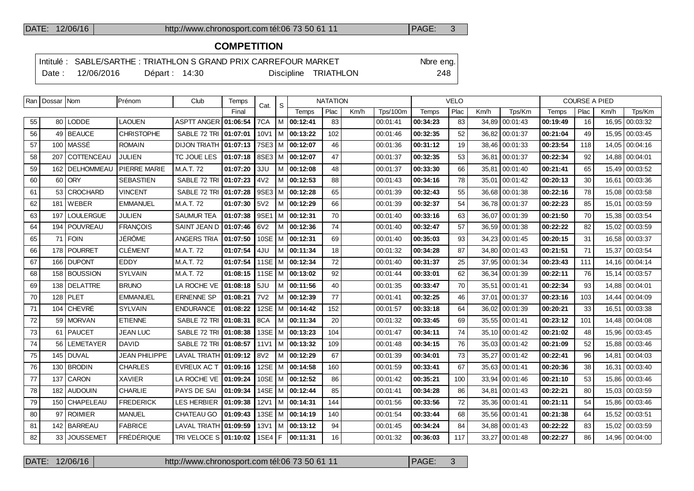## **COMPETITION**

|  |                  |               | Intitulé : SABLE/SARTHE : TRIATHLON S GRAND PRIX CARREFOUR MARKET |                      | Nbre eng. |
|--|------------------|---------------|-------------------------------------------------------------------|----------------------|-----------|
|  | Date: 12/06/2016 | Départ: 14:30 |                                                                   | Discipline TRIATHLON | 248       |

|    | Ran   Dossar   Nom |                        | Prénom               | Club                         | Temps    | Cat.             | S |                     | <b>NATATION</b> |      |                 |          | <b>VELO</b> |       |                |          | <b>COURSE A PIED</b> |       |                |
|----|--------------------|------------------------|----------------------|------------------------------|----------|------------------|---|---------------------|-----------------|------|-----------------|----------|-------------|-------|----------------|----------|----------------------|-------|----------------|
|    |                    |                        |                      |                              | Final    |                  |   | Temps               | Plac            | Km/h | <b>Tps/100m</b> | Temps    | Plac        | Km/h  | Tps/Km         | Temps    | Plac                 | Km/h  | Tps/Km         |
| 55 |                    | 80 LODDE               | <b>LAOUEN</b>        | <b>ASPTT ANGER 01:06:54</b>  |          | 7CA              |   | M 00:12:41          | 83              |      | 00:01:41        | 00:34:23 | 83          |       | 34,89 00:01:43 | 00:19:49 | 16                   | 16,95 | 00:03:32       |
| 56 |                    | 49 BEAUCE              | <b>CHRISTOPHE</b>    | SABLE 72 TRI   01:07:01      |          | 10V1             |   | M 00:13:22          | 102             |      | 00:01:46        | 00:32:35 | 52          |       | 36,82 00:01:37 | 00:21:04 | 49                   | 15,95 | 00:03:45       |
| 57 |                    | 100 MASSÉ              | <b>ROMAIN</b>        | <b>DIJON TRIATH</b>          | 01:07:13 |                  |   | 7SE3   M   00:12:07 | 46              |      | 00:01:36        | 00:31:12 | 19          |       | 38.46 00:01:33 | 00:23:54 | 118                  | 14.05 | 00:04:16       |
| 58 | 207                | COTTENCEAU             | <b>JULIEN</b>        | TC JOUE LES                  | 01:07:18 |                  |   | 8SE3   M   00:12:07 | 47              |      | 00:01:37        | 00:32:35 | 53          |       | 36,81 00:01:37 | 00:22:34 | 92                   | 14,88 | 00:04:01       |
| 59 | 162                | <b>DELHOMMEAU</b>      | PIERRE MARIE         | M.A.T. 72                    | 01:07:20 | 3JU              |   | M 00:12:08          | 48              |      | 00:01:37        | 00:33:30 | 66          | 35.81 | 00:01:40       | 00:21:41 | 65                   | 15.49 | 00:03:52       |
| 60 |                    | 60 ORY                 | <b>SEBASTIEN</b>     | SABLE 72 TRI                 | 01:07:23 | 4V <sub>2</sub>  |   | M 00:12:53          | 88              |      | 00:01:43        | 00:34:16 | 78          |       | 35,01 00:01:42 | 00:20:13 | 30                   | 16.61 | 00:03:36       |
| 61 | 53 I               | <b>CROCHARD</b>        | <b>VINCENT</b>       | SABLE 72 TRI                 | 01:07:28 | 9SE3             |   | M 00:12:28          | 65              |      | 00:01:39        | 00:32:43 | 55          |       | 36,68 00:01:38 | 00:22:16 | 78                   | 15,08 | 00:03:58       |
| 62 | 181                | <b>WEBER</b>           | <b>EMMANUEL</b>      | M.A.T. 72                    | 01:07:30 | 5V2              |   | M 00:12:29          | 66              |      | 00:01:39        | 00:32:37 | 54          |       | 36.78 00:01:37 | 00:22:23 | 85                   | 15.01 | 00:03:59       |
| 63 | 197                | <b>LOULERGUE</b>       | <b>JULIEN</b>        | <b>SAUMUR TEA</b>            | 01:07:38 | 9SE1             |   | M 00:12:31          | 70              |      | 00:01:40        | 00:33:16 | 63          |       | 36.07 00:01:39 | 00:21:50 | 70                   | 15,38 | 00:03:54       |
| 64 | 194                | <i><b>POUVREAU</b></i> | <b>FRANÇOIS</b>      | SAINT JEAN D                 | 01:07:46 | 6V2              |   | M 00:12:36          | 74              |      | 00:01:40        | 00:32:47 | 57          |       | 36,59 00:01:38 | 00:22:22 | 82                   | 15,02 | 00:03:59       |
| 65 | 71                 | <b>FOIN</b>            | JÉRÔME               | <b>ANGERS TRIA</b>           | 01:07:50 | 10SE             |   | M 100:12:31         | 69              |      | 00:01:40        | 00:35:03 | 93          |       | 34.23 00:01:45 | 00:20:15 | 31                   | 16.58 | 00:03:37       |
| 66 | 178 <sup>1</sup>   | <b>POURRET</b>         | <b>CLÉMENT</b>       | M.A.T. 72                    | 01:07:54 | 4JU              |   | M 00:11:34          | 18              |      | 00:01:32        | 00:34:28 | 87          |       | 34.80 00:01:43 | 00:21:51 | 71                   | 15.37 | 00:03:54       |
| 67 | 166                | <b>DUPONT</b>          | <b>EDDY</b>          | M.A.T. 72                    | 01:07:54 |                  |   | 11SE   M   00:12:34 | 72              |      | 00:01:40        | 00:31:37 | 25          |       | 37,95 00:01:34 | 00:23:43 | 111                  | 14.16 | 00:04:14       |
| 68 |                    | 158 BOUSSION           | <b>SYLVAIN</b>       | M.A.T. 72                    | 01:08:15 |                  |   | 11SE   M   00:13:02 | 92              |      | 00:01:44        | 00:33:01 | 62          |       | 36.34 00:01:39 | 00:22:11 | 76                   | 15.14 | 00:03:57       |
| 69 | 138                | <b>DELATTRE</b>        | <b>BRUNO</b>         | LA ROCHE VE                  | 01:08:18 | 5JU              |   | M 00:11:56          | 40              |      | 00:01:35        | 00:33:47 | 70          | 35,51 | 00:01:41       | 00:22:34 | 93                   | 14.88 | 00:04:01       |
| 70 |                    | $128$ PLET             | <b>EMMANUEL</b>      | <b>ERNENNE SP</b>            | 01:08:21 | 7V2              |   | M 00:12:39          | 77              |      | 00:01:41        | 00:32:25 | 46          |       | 37.01 00:01:37 | 00:23:16 | 103                  | 14.44 | 00:04:09       |
| 71 | 104                | <b>CHEVRÉ</b>          | <b>SYLVAIN</b>       | <b>ENDURANCE</b>             | 01:08:22 | 12SE             |   | $ M $ 00:14:42      | 152             |      | 00:01:57        | 00:33:18 | 64          |       | 36.02 00:01:39 | 00:20:21 | 33                   | 16.51 | 00:03:38       |
| 72 |                    | 59 MORVAN              | <b>ETIENNE</b>       | SABLE 72 TRI                 | 01:08:31 | 8CA              |   | M 00:11:34          | 20              |      | 00:01:32        | 00:33:45 | 69          |       | 35.55 00:01:41 | 00:23:12 | 101                  | 14.48 | 00:04:08       |
| 73 | 61                 | PAUCET                 | <b>JEAN LUC</b>      | SABLE 72 TRI                 | 01:08:38 | 13SE             |   | $ M $ 00:13:23      | 104             |      | 00:01:47        | 00:34:11 | 74          |       | 35,10 00:01:42 | 00:21:02 | 48                   | 15,96 | 00:03:45       |
| 74 | 56                 | <b>LEMETAYER</b>       | <b>DAVID</b>         | SABLE 72 TRI 01:08:57        |          | 11 <sub>V1</sub> |   | M 100:13:32         | 109             |      | 00:01:48        | 00:34:15 | 76          |       | 35.03 00:01:42 | 00:21:09 | 52                   | 15.88 | 00:03:46       |
| 75 | 145                | <b>DUVAL</b>           | <b>JEAN PHILIPPE</b> | LAVAL TRIATH 01:09:12        |          | 8V <sub>2</sub>  |   | M 00:12:29          | 67              |      | 00:01:39        | 00:34:01 | 73          |       | 35,27 00:01:42 | 00:22:41 | 96                   | 14.81 | 00:04:03       |
| 76 |                    | 130 BRODIN             | <b>CHARLES</b>       | <b>EVREUX AC T</b>           | 01:09:16 |                  |   | 12SE   M   00:14:58 | 160             |      | 00:01:59        | 00:33:41 | 67          |       | 35,63 00:01:41 | 00:20:36 | 38                   | 16.31 | 00:03:40       |
| 77 | 137                | <b>CARON</b>           | <b>XAVIER</b>        | LA ROCHE VE                  | 01:09:24 |                  |   | 10SE   M   00:12:52 | 86              |      | 00:01:42        | 00:35:21 | 100         |       | 33.94 00:01:46 | 00:21:10 | 53                   | 15.86 | 00:03:46       |
| 78 | 182                | <b>AUDOUIN</b>         | <b>CHARLIE</b>       | PAYS DE SAI                  | 01:09:34 |                  |   | 14SE   M   00:12:44 | 85              |      | 00:01:41        | 00:34:28 | 86          |       | 34,81 00:01:43 | 00:22:21 | 80                   | 15,03 | 00:03:59       |
| 79 | 150                | <b>CHAPELEAU</b>       | <b>FREDERICK</b>     | LES HERBIER                  | 01:09:38 | 12V1             |   | M   00:14:31        | 144             |      | 00:01:56        | 00:33:56 | 72          |       | 35,36 00:01:41 | 00:21:11 | 54                   | 15,86 | 00:03:46       |
| 80 | 97                 | <b>ROIMIER</b>         | <b>MANUEL</b>        | CHATEAU GO                   | 01:09:43 | 13SE             |   | M 00:14:19          | 140             |      | 00:01:54        | 00:33:44 | 68          |       | 35,56 00:01:41 | 00:21:38 | 64                   | 15.52 | 00:03:51       |
| 81 | 142                | <b>BARREAU</b>         | <b>FABRICE</b>       | LAVAL TRIATH <b>01:09:59</b> |          | 13V1             |   | M 100:13:12         | 94              |      | 00:01:45        | 00:34:24 | 84          |       | 34,88 00:01:43 | 00:22:22 | 83                   | 15,02 | 00:03:59       |
| 82 | 33 <sup>1</sup>    | <b>JOUSSEMET</b>       | FRÉDÉRIQUE           | TRI VELOCE S 01:10:02        |          | 1SE4 F           |   | 00:11:31            | 16              |      | 00:01:32        | 00:36:03 | 117         |       | 33,27 00:01:48 | 00:22:27 | 86                   |       | 14,96 00:04:00 |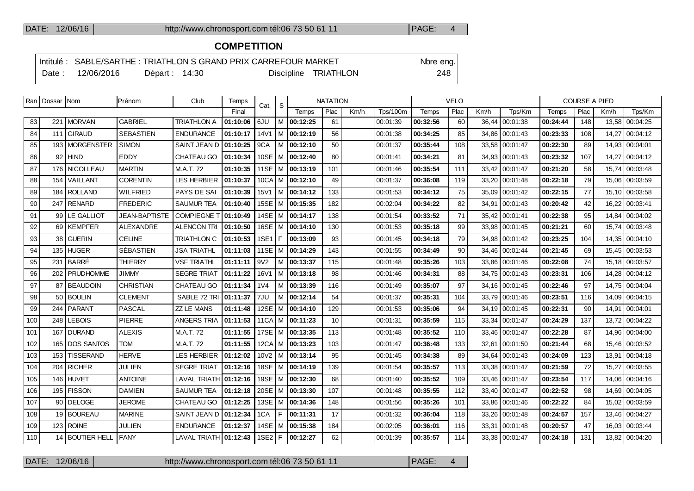## **COMPETITION**

|       |            |                | Intitulé : SABLE/SARTHE : TRIATHLON S GRAND PRIX CARREFOUR MARKET | Nbre eng. |
|-------|------------|----------------|-------------------------------------------------------------------|-----------|
| Date: | 12/06/2016 | Départ : 14:30 | Discipline TRIATHLON                                              | 248       |

|     | Ran   Dossar   Nom |                     | Prénom               | Club                | Temps    | Cat.              | -S  |                       | <b>NATATION</b> |      |                 |          | <b>VELO</b> |      |                  |          | <b>COURSE A PIED</b> |        |                |
|-----|--------------------|---------------------|----------------------|---------------------|----------|-------------------|-----|-----------------------|-----------------|------|-----------------|----------|-------------|------|------------------|----------|----------------------|--------|----------------|
|     |                    |                     |                      |                     | Final    |                   |     | Temps                 | Plac            | Km/h | <b>Tps/100m</b> | Temps    | Plac        | Km/h | Tps/Km           | Temps    | Plac                 | Km/h   | Tps/Km         |
| 83  |                    | 221   MORVAN        | <b>GABRIEL</b>       | <b>TRIATHLON A</b>  | 01:10:06 | 6JU               |     | M 00:12:25            | 61              |      | 00:01:39        | 00:32:56 | 60          |      | 36,44   00:01:38 | 00:24:44 | 148                  |        | 13,58 00:04:25 |
| 84  |                    | 111 GIRAUD          | <b>SEBASTIEN</b>     | <b>ENDURANCE</b>    | 01:10:17 | 14 <sub>V</sub> 1 |     | $ M $ 00:12:19        | 56              |      | 00:01:38        | 00:34:25 | 85          |      | 34,86 00:01:43   | 00:23:33 | 108                  |        | 14,27 00:04:12 |
| 85  |                    | 193   MORGENSTER    | <b>SIMON</b>         | SAINT JEAN D        | 01:10:25 | 9CA               |     | M   00:12:10          | 50              |      | 00:01:37        | 00:35:44 | 108         |      | 33,58 00:01:47   | 00:22:30 | 89                   |        | 14,93 00:04:01 |
| 86  |                    | $92$ HIND           | EDDY                 | CHATEAU GO          | 01:10:34 |                   |     | 10SE   M   00:12:40   | 80              |      | 00:01:41        | 00:34:21 | 81          |      | 34,93 00:01:43   | 00:23:32 | 107                  | 14,27  | 00:04:12       |
| 87  | 176                | NICOLLEAU           | <b>MARTIN</b>        | M.A.T. 72           | 01:10:35 |                   |     | 11SE   M   00:13:19   | 101             |      | 00:01:46        | 00:35:54 | 111         |      | 33,42 00:01:47   | 00:21:20 | 58                   | 15,74  | 00:03:48       |
| 88  |                    | 154 VAILLANT        | <b>CORENTIN</b>      | <b>LES HERBIER</b>  | 01:10:37 |                   |     | $10CA$ M $100:12:10$  | 49              |      | 00:01:37        | 00:36:08 | 119         |      | 33,20 00:01:48   | 00:22:18 | 79                   |        | 15,06 00:03:59 |
| 89  | 184                | <b>ROLLAND</b>      | <b>WILFRIED</b>      | PAYS DE SAI         | 01:10:39 | <b>15V1</b>       |     | M 00:14:12            | 133             |      | 00:01:53        | 00:34:12 | 75          |      | 35,09 00:01:42   | 00:22:15 | 77                   | 15, 10 | 00:03:58       |
| 90  | 247                | <b>RENARD</b>       | <b>FREDERIC</b>      | <b>SAUMUR TEA</b>   | 01:10:40 |                   |     | 15SE M 00:15:35       | 182             |      | 00:02:04        | 00:34:22 | 82          |      | 34.91 00:01:43   | 00:20:42 | 42                   |        | 16,22 00:03:41 |
| 91  | 99                 | LE GALLIOT          | <b>JEAN-BAPTISTE</b> | <b>COMPIEGNE</b>    | 01:10:49 |                   |     | 14SE   M   00:14:17   | 138             |      | 00:01:54        | 00:33:52 | 71          |      | 35,42 00:01:41   | 00:22:38 | 95                   | 14,84  | 00:04:02       |
| 92  | 69                 | KEMPFER             | <b>ALEXANDRE</b>     | <b>ALENCON TRI</b>  | 01:10:50 |                   |     | 16SE   M   00:14:10   | 130             |      | 00:01:53        | 00:35:18 | 99          |      | 33.98 00:01:45   | 00:21:21 | 60                   |        | 15,74 00:03:48 |
| 93  | 38                 | <b>GUERIN</b>       | <b>CELINE</b>        | <b>TRIATHLON C</b>  | 01:10:53 | <b>1SE1</b>       | IF. | 00:13:09              | 93              |      | 00:01:45        | 00:34:18 | 79          |      | 34,98 00:01:42   | 00:23:25 | 104                  | 14,35  | 00:04:10       |
| 94  | 135 <sub>1</sub>   | HUGER               | <b>SÉBASTIEN</b>     | <b>JSA TRIATHL</b>  | 01:11:03 |                   |     | 11SE M 00:14:29       | 143             |      | 00:01:55        | 00:34:49 | 90          |      | 34.46 00:01:44   | 00:21:45 | 69                   |        | 15,45 00:03:53 |
| 95  | 231                | BARRÉ               | <b>THIERRY</b>       | <b>VSF TRIATHL</b>  | 01:11:11 | 9V <sub>2</sub>   |     | M   00:13:37          | 115             |      | 00:01:48        | 00:35:26 | 103         |      | 33,86 00:01:46   | 00:22:08 | 74                   |        | 15,18 00:03:57 |
| 96  | 202                | <b>PRUDHOMME</b>    | JIMMY                | <b>SEGRE TRIAT</b>  | 01:11:22 | 16V1              |     | M 100:13:18           | 98              |      | 00:01:46        | 00:34:31 | 88          |      | 34.75 00:01:43   | 00:23:31 | 106                  |        | 14,28 00:04:12 |
| 97  | 87                 | <b>BEAUDOIN</b>     | <b>CHRISTIAN</b>     | CHATEAU GO          | 01:11:34 | 1 <sub>V</sub> 4  |     | M 00:13:39            | 116             |      | 00:01:49        | 00:35:07 | 97          |      | 34, 16 00:01:45  | 00:22:46 | 97                   |        | 14,75 00:04:04 |
| 98  | $50^{\circ}$       | <b>BOULIN</b>       | <b>CLEMENT</b>       | SABLE 72 TRI        | 01:11:37 | 7JU               |     | M 100:12:14           | 54              |      | 00:01:37        | 00:35:31 | 104         |      | 33.79 00:01:46   | 00:23:51 | 116                  |        | 14,09 00:04:15 |
| 99  | 244                | <b>PARANT</b>       | <b>PASCAL</b>        | <b>ZZ LE MANS</b>   | 01:11:48 |                   |     | 12SE   M   00:14:10   | 129             |      | 00:01:53        | 00:35:06 | 94          |      | 34,19 00:01:45   | 00:22:31 | 90                   | 14,91  | 00:04:01       |
| 100 | 248                | l LEBOIS            | <b>PIERRE</b>        | <b>ANGERS TRIA</b>  | 01:11:53 |                   |     | 11CA M 00:11:23       | 10              |      | 00:01:31        | 00:35:59 | 115         |      | 33.34 00:01:47   | 00:24:29 | 137                  |        | 13,72 00:04:22 |
| 101 | 167                | <b>DURAND</b>       | <b>ALEXIS</b>        | M.A.T. 72           | 01:11:55 |                   |     | 17SE   M   00:13:35   | 113             |      | 00:01:48        | 00:35:52 | 110         |      | 33,46 00:01:47   | 00:22:28 | 87                   |        | 14,96 00:04:00 |
| 102 | 165                | <b>DOS SANTOS</b>   | TOM                  | M.A.T. 72           | 01:11:55 |                   |     | 12CA   M   00:13:23   | 103             |      | 00:01:47        | 00:36:48 | 133         |      | 32.61 00:01:50   | 00:21:44 | 68                   |        | 15,46 00:03:52 |
| 103 | 153                | <b>TISSERAND</b>    | <b>HERVE</b>         | LES HERBIER         | 01:12:02 |                   |     | $10V2$   M   00:13:14 | 95              |      | 00:01:45        | 00:34:38 | 89          |      | 34,64 00:01:43   | 00:24:09 | 123                  |        | 13,91 00:04:18 |
| 104 | 204                | <b>RICHER</b>       | JULIEN               | <b>SEGRE TRIAT</b>  | 01:12:16 |                   |     | 18SE   M   00:14:19   | 139             |      | 00:01:54        | 00:35:57 | 113         |      | 33.38 00:01:47   | 00:21:59 | 72                   | 15,27  | 00:03:55       |
| 105 | 146                | <b>HUVET</b>        | <b>ANTOINE</b>       | <b>LAVAL TRIATH</b> | 01:12:16 |                   |     | 19SE   M   00:12:30   | 68              |      | 00:01:40        | 00:35:52 | 109         |      | 33,46 00:01:47   | 00:23:54 | 117                  |        | 14,06 00:04:16 |
| 106 |                    | 195 FISSON          | <b>DAMIEN</b>        | <b>SAUMUR TEA</b>   | 01:12:18 |                   |     | 20SE   M   00:13:30   | 107             |      | 00:01:48        | 00:35:55 | 112         |      | 33.40 00:01:47   | 00:22:52 | 98                   |        | 14,69 00:04:05 |
| 107 | 90                 | <b>DELOGE</b>       | <b>JEROME</b>        | CHATEAU GO          | 01:12:25 |                   |     | 13SE   M   00:14:36   | 148             |      | 00:01:56        | 00:35:26 | 101         |      | 33,86 00:01:46   | 00:22:22 | 84                   |        | 15,02 00:03:59 |
| 108 | 19 <sup>1</sup>    | <b>BOUREAU</b>      | <b>MARINE</b>        | <b>SAINT JEAN D</b> | 01:12:34 | 1CA               | F.  | 00:11:31              | 17              |      | 00:01:32        | 00:36:04 | 118         |      | 33,26 00:01:48   | 00:24:57 | 157                  |        | 13,46 00:04:27 |
| 109 | 123                | <b>ROINE</b>        | <b>JULIEN</b>        | <b>ENDURANCE</b>    | 01:12:37 |                   |     | 14SE   M   00:15:38   | 184             |      | 00:02:05        | 00:36:01 | 116         |      | 33,31 00:01:48   | 00:20:57 | 47                   |        | 16,03 00:03:44 |
| 110 | 14                 | <b>BOUTIER HELL</b> | <b>FANY</b>          | <b>LAVAL TRIATH</b> | 01:12:43 | 1SE2 F            |     | 00:12:27              | 62              |      | 00:01:39        | 00:35:57 | 114         |      | 33,38 00:01:47   | 00:24:18 | 131                  |        | 13,82 00:04:20 |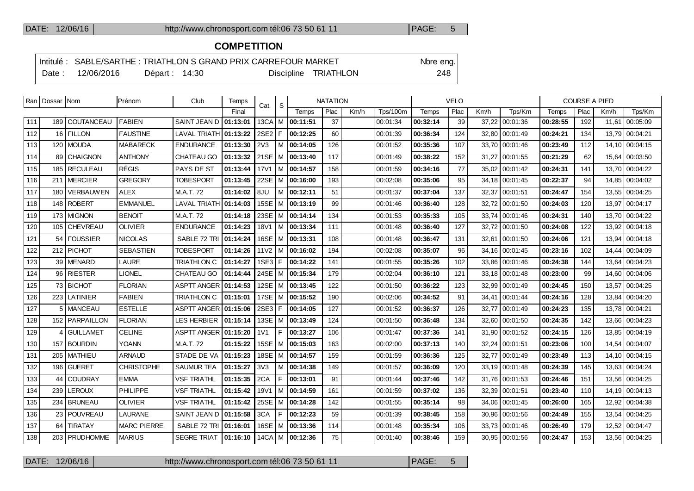## **COMPETITION**

|        |            |                | Intitulé : SABLE/SARTHE : TRIATHLON S GRAND PRIX CARREFOUR MARKET | Nbre eng. |
|--------|------------|----------------|-------------------------------------------------------------------|-----------|
| Date : | 12/06/2016 | Départ : 14:30 | Discipline TRIATHLON                                              | 248.      |

|     | Ran   Dossar   Nom |                  | Prénom             | Club                   | Temps    | Cat.             | -S   |                       | <b>NATATION</b> |      |                 |              | <b>VELO</b> |      |                  |          | <b>COURSE A PIED</b> |       |                |
|-----|--------------------|------------------|--------------------|------------------------|----------|------------------|------|-----------------------|-----------------|------|-----------------|--------------|-------------|------|------------------|----------|----------------------|-------|----------------|
|     |                    |                  |                    |                        | Final    |                  |      | Temps                 | Plac            | Km/h | <b>Tps/100m</b> | <b>Temps</b> | Plac        | Km/h | Tps/Km           | Temps    | Plac                 | Km/h  | Tps/Km         |
| 111 |                    | 189 COUTANCEAU   | <b>FABIEN</b>      | SAINT JEAN D           | 01:13:01 | $13CA$ M         |      | 00:11:51              | 37              |      | 00:01:34        | 00:32:14     | 39          |      | 37,22 00:01:36   | 00:28:55 | 192                  | 11,61 | 00:05:09       |
| 112 |                    | 16 FILLON        | <b>FAUSTINE</b>    | <b>LAVAL TRIATH</b>    | 01:13:22 | 2SE2 F           |      | 00:12:25              | 60              |      | 00:01:39        | 00:36:34     | 124         |      | 32,80 00:01:49   | 00:24:21 | 134                  | 13,79 | 00:04:21       |
| 113 |                    | 120   MOUDA      | <b>MABARECK</b>    | <b>ENDURANCE</b>       | 01:13:30 | 2V3              | M    | 00:14:05              | 126             |      | 00:01:52        | 00:35:36     | 107         |      | 33.70 00:01:46   | 00:23:49 | 112                  | 14.10 | 00:04:15       |
| 114 |                    | 89 CHAIGNON      | <b>ANTHONY</b>     | CHATEAU GO             | 01:13:32 |                  |      | 21SE   M   00:13:40   | 117             |      | 00:01:49        | 00:38:22     | 152         |      | 31,27 00:01:55   | 00:21:29 | 62                   | 15.64 | 00:03:50       |
| 115 | 185 l              | <b>RECULEAU</b>  | <b>RÉGIS</b>       | PAYS DE ST             | 01:13:44 | <b>17V1</b>      |      | M 00:14:57            | 158             |      | 00:01:59        | 00:34:16     | 77          |      | 35,02 00:01:42   | 00:24:31 | 141                  | 13,70 | 00:04:22       |
| 116 |                    | 211 MERCIER      | <b>GREGORY</b>     | <b>TOBESPORT</b>       | 01:13:45 | 22SE             |      | M 00:16:00            | 193             |      | 00:02:08        | 00:35:06     | 95          |      | 34.18 00:01:45   | 00:22:37 | 94                   | 14.85 | 00:04:02       |
| 117 | 180 l              | <b>VERBAUWEN</b> | <b>ALEX</b>        | M.A.T. 72              | 01:14:02 | 8JU              |      | M 100:12:11           | 51              |      | 00:01:37        | 00:37:04     | 137         |      | 32.37 00:01:51   | 00:24:47 | 154                  | 13.55 | 00:04:25       |
| 118 |                    | 148 ROBERT       | <b>EMMANUEL</b>    | <b>LAVAL TRIATH</b>    | 01:14:03 | 15SE             |      | M 00:13:19            | 99              |      | 00:01:46        | 00:36:40     | 128         |      | 32,72   00:01:50 | 00:24:03 | 120                  | 13.97 | 00:04:17       |
| 119 |                    | 173 MIGNON       | <b>BENOIT</b>      | M.A.T. 72              | 01:14:18 | 23SE             | l M  | 00:14:14              | 134             |      | 00:01:53        | 00:35:33     | 105         |      | 33.74 00:01:46   | 00:24:31 | 140                  | 13.70 | 00:04:22       |
| 120 |                    | 105 CHEVREAU     | <b>OLIVIER</b>     | <b>ENDURANCE</b>       | 01:14:23 | 18V1             |      | M 00:13:34            | 111             |      | 00:01:48        | 00:36:40     | 127         |      | 32,72 00:01:50   | 00:24:08 | 122                  |       | 13,92 00:04:18 |
| 121 | 54                 | l FOUSSIER       | <b>NICOLAS</b>     | SABLE 72 TRI           | 01:14:24 | 16SE             |      | $ M $ 00:13:31        | 108             |      | 00:01:48        | 00:36:47     | 131         |      | 32,61 00:01:50   | 00:24:06 | 121                  | 13.94 | 00:04:18       |
| 122 |                    | 212 PICHOT       | <b>SEBASTIEN</b>   | <b>TOBESPORT</b>       | 01:14:26 | 11 <sub>V2</sub> |      | M 00:16:02            | 194             |      | 00:02:08        | 00:35:07     | 96          |      | 34,16 00:01:45   | 00:23:16 | 102                  | 14.44 | 00:04:09       |
| 123 |                    | 39   MENARD      | <b>LAURE</b>       | <b>TRIATHLON C</b>     | 01:14:27 | 1SE3             | l F. | 00:14:22              | 141             |      | 00:01:55        | 00:35:26     | 102         |      | 33.86 00:01:46   | 00:24:38 | 144                  | 13.64 | 00:04:23       |
| 124 |                    | 96 RIESTER       | LIONEL             | CHATEAU GO             | 01:14:44 |                  |      | 24SE   M   00:15:34   | 179             |      | 00:02:04        | 00:36:10     | 121         |      | 33,18 00:01:48   | 00:23:00 | 99                   | 14.60 | 00:04:06       |
| 125 |                    | 73 BICHOT        | <b>FLORIAN</b>     | ASPTT ANGER   01:14:53 |          |                  |      | 12SE   M   00:13:45   | 122             |      | 00:01:50        | 00:36:22     | 123         |      | 32,99 00:01:49   | 00:24:45 | 150                  | 13,57 | 00:04:25       |
| 126 |                    | 223 LATINIER     | <b>FABIEN</b>      | <b>TRIATHLON C</b>     | 01:15:01 |                  |      | 17SE M 00:15:52       | 190             |      | 00:02:06        | 00:34:52     | 91          |      | 34.41 00:01:44   | 00:24:16 | 128                  | 13.84 | 00:04:20       |
| 127 |                    | 5   MANCEAU      | <b>ESTELLE</b>     | ASPTT ANGER            | 01:15:06 | 2SE3             | IF.  | 00:14:05              | 127             |      | 00:01:52        | 00:36:37     | 126         |      | 32.77 00:01:49   | 00:24:23 | 135                  | 13.78 | 00:04:21       |
| 128 |                    | 152   PARPAILLON | <b>FLORIAN</b>     | <b>LES HERBIER</b>     | 01:15:14 |                  |      | 13SE   M   00:13:49   | 124             |      | 00:01:50        | 00:36:48     | 134         |      | 32,60 00:01:50   | 00:24:35 | 142                  | 13.66 | 00:04:23       |
| 129 | 4                  | <b>GUILLAMET</b> | <b>CELINE</b>      | ASPTT ANGER 01:15:20   |          | 1V1              | E    | 00:13:27              | 106             |      | 00:01:47        | 00:37:36     | 141         |      | 31.90 00:01:52   | 00:24:15 | 126                  | 13.85 | 00:04:19       |
| 130 |                    | 157 BOURDIN      | <b>YOANN</b>       | M.A.T. 72              | 01:15:22 |                  |      | 15SE M 00:15:03       | 163             |      | 00:02:00        | 00:37:13     | 140         |      | 32,24 00:01:51   | 00:23:06 | 100                  | 14.54 | 00:04:07       |
| 131 |                    | 205   MATHIEU    | <b>ARNAUD</b>      | STADE DE VA            | 01:15:23 | 18SE             | l M  | 00:14:57              | 159             |      | 00:01:59        | 00:36:36     | 125         |      | 32,77 00:01:49   | 00:23:49 | 113                  | 14,10 | 00:04:15       |
| 132 |                    | 196 GUERET       | <b>CHRISTOPHE</b>  | <b>SAUMUR TEA</b>      | 01:15:27 | 3V3              |      | M 100:14:38           | 149             |      | 00:01:57        | 00:36:09     | 120         |      | 33.19 00:01:48   | 00:24:39 | 145                  | 13.63 | 00:04:24       |
| 133 |                    | 44 COUDRAY       | <b>EMMA</b>        | <b>VSF TRIATHL</b>     | 01:15:35 | 2CA              | F.   | 00:13:01              | 91              |      | 00:01:44        | 00:37:46     | 142         |      | 31,76 00:01:53   | 00:24:46 | 151                  | 13,56 | 00:04:25       |
| 134 | 239                | <b>LEROUX</b>    | PHILIPPE           | <b>VSF TRIATHL</b>     | 01:15:42 | 19V1             |      | M   00:14:59          | 161             |      | 00:01:59        | 00:37:02     | 136         |      | 32,39 00:01:51   | 00:23:40 | 110                  | 14,19 | 00:04:13       |
| 135 | 234                | <b>BRUNEAU</b>   | <b>OLIVIER</b>     | <b>VSF TRIATHL</b>     | 01:15:42 | 25SE             |      | M 100:14:28           | 142             |      | 00:01:55        | 00:35:14     | 98          |      | 34,06   00:01:45 | 00:26:00 | 165                  | 12.92 | 00:04:38       |
| 136 |                    | 23 POUVREAU      | <b>LAURANE</b>     | SAINT JEAN D           | 01:15:58 | 3CA              | F.   | 00:12:23              | 59              |      | 00:01:39        | 00:38:45     | 158         |      | 30,96 00:01:56   | 00:24:49 | 155                  | 13,54 | 00:04:25       |
| 137 | 64                 | <b>TIRATAY</b>   | <b>MARC PIERRE</b> | SABLE 72 TRI           | 01:16:01 | 16SE             |      | M 00:13:36            | 114             |      | 00:01:48        | 00:35:34     | 106         |      | 33,73 00:01:46   | 00:26:49 | 179                  | 12,52 | 00:04:47       |
| 138 |                    | 203   PRUDHOMME  | <b>MARIUS</b>      | <b>SEGRE TRIAT</b>     | 01:16:10 |                  |      | $14CA$   M   00:12:36 | 75              |      | 00:01:40        | 00:38:46     | 159         |      | 30,95   00:01:56 | 00:24:47 | 153                  |       | 13,56 00:04:25 |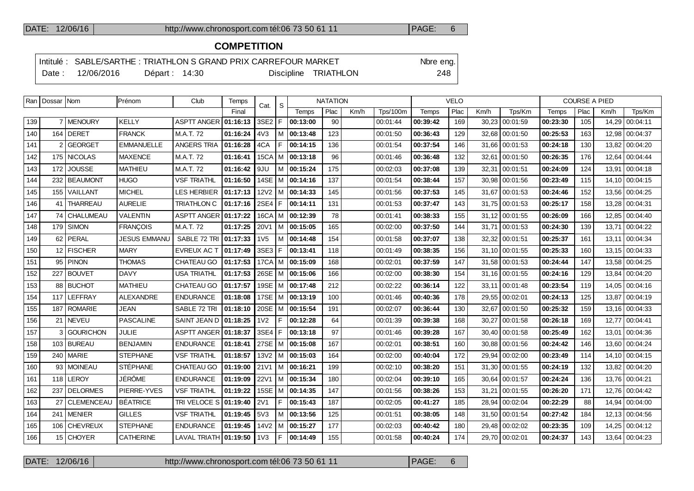## **COMPETITION**

|        |            |                | Intitulé : SABLE/SARTHE : TRIATHLON S GRAND PRIX CARREFOUR MARKET |                      | Nbre eng. |
|--------|------------|----------------|-------------------------------------------------------------------|----------------------|-----------|
| Date : | 12/06/2016 | Départ : 14:30 |                                                                   | Discipline TRIATHLON | 248       |

|     | Ran   Dossar   Nom |                   | Prénom              | Club                         | Temps    | Cat.             | S.   |                            | <b>NATATION</b> |      |                 |          | <b>VELO</b> |       |                |          | <b>COURSE A PIED</b> |       |                |
|-----|--------------------|-------------------|---------------------|------------------------------|----------|------------------|------|----------------------------|-----------------|------|-----------------|----------|-------------|-------|----------------|----------|----------------------|-------|----------------|
|     |                    |                   |                     |                              | Final    |                  |      | Temps                      | Plac            | Km/h | <b>Tps/100m</b> | Temps    | Plac        | Km/h  | Tps/Km         | Temps    | Plac                 | Km/h  | Tps/Km         |
| 139 |                    | 7 MENOURY         | <b>KELLY</b>        | ASPTT ANGER   01:16:13       |          | 3SE2             | l F. | 00:13:00                   | 90              |      | 00:01:44        | 00:39:42 | 169         |       | 30,23 00:01:59 | 00:23:30 | 105                  | 14,29 | 00:04:11       |
| 140 |                    | $164$ DERET       | <b>FRANCK</b>       | M.A.T. 72                    | 01:16:24 | 4V3              |      | M 00:13:48                 | 123             |      | 00:01:50        | 00:36:43 | 129         |       | 32,68 00:01:50 | 00:25:53 | 163                  | 12,98 | 00:04:37       |
| 141 | $\mathfrak{p}$     | <b>GEORGET</b>    | <b>EMMANUELLE</b>   | <b>ANGERS TRIA</b>           | 01:16:28 | 4CA              | F    | 00:14:15                   | 136             |      | 00:01:54        | 00:37:54 | 146         |       | 31.66 00:01:53 | 00:24:18 | 130                  | 13.82 | 00:04:20       |
| 142 |                    | 175 NICOLAS       | <b>MAXENCE</b>      | M.A.T. 72                    | 01:16:41 | 15CA             |      | M 00:13:18                 | 96              |      | 00:01:46        | 00:36:48 | 132         |       | 32,61 00:01:50 | 00:26:35 | 176                  | 12,64 | 00:04:44       |
| 143 | 172                | <b>JOUSSE</b>     | <b>MATHIEU</b>      | M.A.T. 72                    | 01:16:42 | 9JU              |      | M 00:15:24                 | 175             |      | 00:02:03        | 00:37:08 | 139         | 32.31 | 00:01:51       | 00:24:09 | 124                  | 13.91 | 00:04:18       |
| 144 |                    | 232 BEAUMONT      | <b>HUGO</b>         | <b>VSF TRIATHL</b>           | 01:16:50 |                  |      | 14SE   M   00:14:16        | 137             |      | 00:01:54        | 00:38:44 | 157         |       | 30,98 00:01:56 | 00:23:49 | 115                  | 14.10 | 00:04:15       |
| 145 | 155                | VAILLANT          | <b>MICHEL</b>       | LES HERBIER                  | 01:17:13 | 12V2             | l M  | 00:14:33                   | 145             |      | 00:01:56        | 00:37:53 | 145         |       | 31,67 00:01:53 | 00:24:46 | 152                  | 13,56 | 00:04:25       |
| 146 | 41                 | <b>THARREAU</b>   | <b>AURELIE</b>      | <b>TRIATHLON C</b>           | 01:17:16 | $2SE4$ F         |      | 00:14:11                   | 131             |      | 00:01:53        | 00:37:47 | 143         |       | 31.75 00:01:53 | 00:25:17 | 158                  | 13.28 | 00:04:31       |
| 147 | 74                 | CHALUMEAU         | <b>VALENTIN</b>     | <b>ASPTT ANGER</b>           | 01:17:22 |                  |      | 16CA   M   00:12:39        | 78              |      | 00:01:41        | 00:38:33 | 155         |       | 31.12 00:01:55 | 00:26:09 | 166                  | 12,85 | 00:04:40       |
| 148 |                    | $179$ SIMON       | <b>FRANÇOIS</b>     | M.A.T. 72                    | 01:17:25 | 20V1             |      | M 00:15:05                 | 165             |      | 00:02:00        | 00:37:50 | 144         |       | 31,71 00:01:53 | 00:24:30 | 139                  | 13.71 | 00:04:22       |
| 149 | 62                 | PERAL             | <b>JESUS EMMANU</b> | SABLE 72 TRI                 | 01:17:33 | 1 <sub>V</sub> 5 | M    | 00:14:48                   | 154             |      | 00:01:58        | 00:37:07 | 138         |       | 32.32 00:01:51 | 00:25:37 | 161                  | 13.11 | 00:04:34       |
| 150 |                    | 12 FISCHER        | <b>MARY</b>         | EVREUX AC T                  | 01:17:49 | $3SE3$ F         |      | 00:13:41                   | 118             |      | 00:01:49        | 00:38:35 | 156         |       | 31.10 00:01:55 | 00:25:33 | 160                  | 13.15 | 00:04:33       |
| 151 | 95                 | <b>PINON</b>      | <b>THOMAS</b>       | CHATEAU GO                   | 01:17:53 |                  |      | 17CA   M   00:15:09        | 168             |      | 00:02:01        | 00:37:59 | 147         |       | 31,58 00:01:53 | 00:24:44 | 147                  | 13,58 | 00:04:25       |
| 152 | 227                | <b>BOUVET</b>     | <b>DAVY</b>         | <b>USA TRIATHL</b>           | 01:17:53 |                  |      | 26SE   M   00:15:06        | 166             |      | 00:02:00        | 00:38:30 | 154         |       | 31.16 00:01:55 | 00:24:16 | 129                  | 13.84 | 00:04:20       |
| 153 | 88                 | <b>BUCHOT</b>     | <b>MATHIEU</b>      | CHATEAU GO                   | 01:17:57 |                  |      | 19SE   M <b>  00:17:48</b> | 212             |      | 00:02:22        | 00:36:14 | 122         | 33.11 | 00:01:48       | 00:23:54 | 119                  | 14.05 | 00:04:16       |
| 154 | 117                | <b>LEFFRAY</b>    | <b>ALEXANDRE</b>    | <b>ENDURANCE</b>             | 01:18:08 |                  |      | 17SE   M   00:13:19        | 100             |      | 00:01:46        | 00:40:36 | 178         |       | 29,55 00:02:01 | 00:24:13 | 125                  | 13.87 | 00:04:19       |
| 155 | 187                | <b>ROMARIE</b>    | JEAN                | SABLE 72 TRI                 | 01:18:10 |                  |      | 20SE M 00:15:54            | 191             |      | 00:02:07        | 00:36:44 | 130         |       | 32.67 00:01:50 | 00:25:32 | 159                  | 13.16 | 00:04:33       |
| 156 | 21                 | NEVEU             | <b>PASCALINE</b>    | SAINT JEAN D   01:18:25      |          | 1 <sub>V</sub> 2 | F    | 00:12:28                   | 64              |      | 00:01:39        | 00:39:38 | 168         |       | 30.27 00:01:58 | 00:26:18 | 169                  | 12.77 | 00:04:41       |
| 157 | 3                  | <b>GOURICHON</b>  | <b>JULIE</b>        | ASPTT ANGER                  | 01:18:37 | 3SE4             | l F. | 00:13:18                   | 97              |      | 00:01:46        | 00:39:28 | 167         |       | 30,40 00:01:58 | 00:25:49 | 162                  | 13,01 | 00:04:36       |
| 158 |                    | 103 BUREAU        | <b>BENJAMIN</b>     | <b>ENDURANCE</b>             | 01:18:41 |                  |      | 27SE   M   00:15:08        | 167             |      | 00:02:01        | 00:38:51 | 160         |       | 30.88 00:01:56 | 00:24:42 | 146                  | 13.60 | 00:04:24       |
| 159 | 240                | <b>MARIE</b>      | <b>STEPHANE</b>     | <b>VSF TRIATHL</b>           | 01:18:57 | 13V2             |      | M 100:15:03                | 164             |      | 00:02:00        | 00:40:04 | 172         |       | 29,94 00:02:00 | 00:23:49 | 114                  | 14.10 | 00:04:15       |
| 160 | 93l                | <b>MOINEAU</b>    | <b>STÉPHANE</b>     | CHATEAU GO                   | 01:19:00 | 21V1             |      | M 100:16:21                | 199             |      | 00:02:10        | 00:38:20 | 151         |       | 31,30 00:01:55 | 00:24:19 | 132                  | 13.82 | 00:04:20       |
| 161 | 118                | <b>LEROY</b>      | JÉRÔME              | <b>ENDURANCE</b>             | 01:19:09 | 22V1             |      | M 100:15:34                | 180             |      | 00:02:04        | 00:39:10 | 165         |       | 30.64 00:01:57 | 00:24:24 | 136                  | 13.76 | 00:04:21       |
| 162 | 237                | <b>DELORMES</b>   | PIERRE-YVES         | <b>VSF TRIATHL</b>           | 01:19:22 | 15SE             |      | M   00:14:35               | 147             |      | 00:01:56        | 00:38:26 | 153         |       | 31,21 00:01:55 | 00:26:20 | 171                  | 12,76 | 00:04:42       |
| 163 | 27                 | <b>CLEMENCEAU</b> | <b>BÉATRICE</b>     | TRI VELOCE S                 | 01:19:40 | 2V1              | F    | 00:15:43                   | 187             |      | 00:02:05        | 00:41:27 | 185         |       | 28,94 00:02:04 | 00:22:29 | 88                   | 14,94 | 00:04:00       |
| 164 | 241                | <b>MENIER</b>     | <b>GILLES</b>       | <b>VSF TRIATHL</b>           | 01:19:45 | 5V3              |      | M 00:13:56                 | 125             |      | 00:01:51        | 00:38:05 | 148         |       | 31,50 00:01:54 | 00:27:42 | 184                  | 12.13 | 00:04:56       |
| 165 | 106                | <b>CHEVREUX</b>   | <b>STEPHANE</b>     | <b>ENDURANCE</b>             | 01:19:45 | 14 <sub>V2</sub> |      | M 00:15:27                 | 177             |      | 00:02:03        | 00:40:42 | 180         |       | 29,48 00:02:02 | 00:23:35 | 109                  | 14,25 | 00:04:12       |
| 166 |                    | 15 CHOYER         | <b>CATHERINE</b>    | LAVAL TRIATH <b>01:19:50</b> |          | 1 <sub>V</sub> 3 | F    | 00:14:49                   | 155             |      | 00:01:58        | 00:40:24 | 174         |       | 29,70 00:02:01 | 00:24:37 | 143                  |       | 13,64 00:04:23 |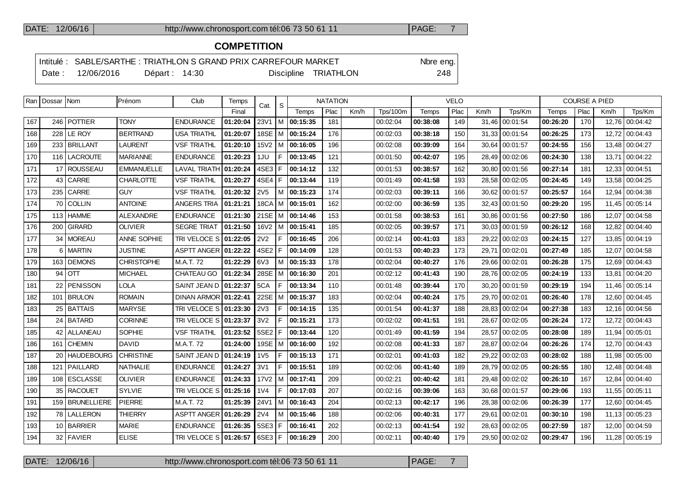## **COMPETITION**

|  |                  |                | Intitulé : SABLE/SARTHE : TRIATHLON S GRAND PRIX CARREFOUR MARKET |                      | Nbre eng. |
|--|------------------|----------------|-------------------------------------------------------------------|----------------------|-----------|
|  | Date: 12/06/2016 | Départ : 14:30 |                                                                   | Discipline TRIATHLON | 248       |

|     | Ran   Dossar   Nom |                 | Prénom             | Club                    | Temps    | Cat.             | S   | <b>NATATION</b>     |      |      | <b>VELO</b>     |          |      |      | <b>COURSE A PIED</b> |          |      |       |                |
|-----|--------------------|-----------------|--------------------|-------------------------|----------|------------------|-----|---------------------|------|------|-----------------|----------|------|------|----------------------|----------|------|-------|----------------|
|     |                    |                 |                    |                         | Final    |                  |     | Temps               | Plac | Km/h | <b>Tps/100m</b> | Temps    | Plac | Km/h | Tps/Km               | Temps    | Plac | Km/h  | Tps/Km         |
| 167 |                    | 246   POTTIER   | <b>TONY</b>        | <b>ENDURANCE</b>        | 01:20:04 | 23V1             |     | M 00:15:35          | 181  |      | 00:02:04        | 00:38:08 | 149  |      | 31,46 00:01:54       | 00:26:20 | 170  |       | 12,76 00:04:42 |
| 168 |                    | $228$ LE ROY    | <b>BERTRAND</b>    | <b>USA TRIATHL</b>      | 01:20:07 |                  |     | 18SE   M   00:15:24 | 176  |      | 00:02:03        | 00:38:18 | 150  |      | 31,33 00:01:54       | 00:26:25 | 173  |       | 12,72 00:04:43 |
| 169 |                    | 233 BRILLANT    | <b>LAURENT</b>     | <b>VSF TRIATHL</b>      | 01:20:10 | 15V2             | l M | 00:16:05            | 196  |      | 00:02:08        | 00:39:09 | 164  |      | 30,64 00:01:57       | 00:24:55 | 156  | 13,48 | 00:04:27       |
| 170 |                    | 116 LACROUTE    | <b>MARIANNE</b>    | <b>ENDURANCE</b>        | 01:20:23 | 1JU              | F   | 00:13:45            | 121  |      | 00:01:50        | 00:42:07 | 195  |      | 28.49 00:02:06       | 00:24:30 | 138  | 13.71 | 00:04:22       |
| 171 | 17                 | <b>ROUSSEAU</b> | <b>EMMANUELLE</b>  | <b>LAVAL TRIATH</b>     | 01:20:24 | 4SE3             | l F | 00:14:12            | 132  |      | 00:01:53        | 00:38:57 | 162  |      | 30,80 00:01:56       | 00:27:14 | 181  | 12,33 | 00:04:51       |
| 172 |                    | 43 CARRE        | <b>CHARLOTTE</b>   | <b>VSF TRIATHL</b>      | 01:20:27 | 4SE4             | IF. | 00:13:44            | 119  |      | 00:01:49        | 00:41:58 | 193  |      | 28.58 00:02:05       | 00:24:45 | 149  | 13.58 | 00:04:25       |
| 173 | 235                | <b>CARRE</b>    | <b>GUY</b>         | <b>VSF TRIATHL</b>      | 01:20:32 | 2V <sub>5</sub>  |     | M 00:15:23          | 174  |      | 00:02:03        | 00:39:11 | 166  |      | 30,62 00:01:57       | 00:25:57 | 164  | 12.94 | 00:04:38       |
| 174 | 70 I               | l COLLIN        | <b>ANTOINE</b>     | <b>ANGERS TRIA</b>      | 01:21:21 | 18CA             |     | $ M $ 00:15:01      | 162  |      | 00:02:00        | 00:36:59 | 135  |      | 32.43 00:01:50       | 00:29:20 | 195  |       | 11.45 00:05:14 |
| 175 | 113                | <b>HAMME</b>    | <b>ALEXANDRE</b>   | <b>ENDURANCE</b>        | 01:21:30 |                  |     | 21SE   M   00:14:46 | 153  |      | 00:01:58        | 00:38:53 | 161  |      | 30.86 00:01:56       | 00:27:50 | 186  | 12,07 | 00:04:58       |
| 176 |                    | 200 GIRARD      | <b>OLIVIER</b>     | <b>SEGRE TRIAT</b>      | 01:21:50 | 16 <sub>V2</sub> |     | M   00:15:41        | 185  |      | 00:02:05        | 00:39:57 | 171  |      | 30,03   00:01:59     | 00:26:12 | 168  |       | 12,82 00:04:40 |
| 177 |                    | 34   MOREAU     | <b>ANNE SOPHIE</b> | TRI VELOCE S 01:22:05   |          | 2V <sub>2</sub>  | F   | 00:16:45            | 206  |      | 00:02:14        | 00:41:03 | 183  |      | 29,22 00:02:03       | 00:24:15 | 127  | 13,85 | 00:04:19       |
| 178 |                    | 6 MARTIN        | <b>JUSTINE</b>     | ASPTT ANGER   01:22:22  |          | 4SE2 F           |     | 00:14:09            | 128  |      | 00:01:53        | 00:40:23 | 173  |      | 29,71 00:02:01       | 00:27:49 | 185  | 12.07 | 00:04:58       |
| 179 |                    | 163 DEMONS      | <b>CHRISTOPHE</b>  | M.A.T. 72               | 01:22:29 | 6V3              |     | M 00:15:33          | 178  |      | 00:02:04        | 00:40:27 | 176  |      | 29.66 00:02:01       | 00:26:28 | 175  | 12.69 | 00:04:43       |
| 180 | 94                 | OTT             | <b>MICHAEL</b>     | CHATEAU GO              | 01:22:34 | 28SE             |     | M 100:16:30         | 201  |      | 00:02:12        | 00:41:43 | 190  |      | 28,76 00:02:05       | 00:24:19 | 133  | 13,81 | 00:04:20       |
| 181 | 22                 | <b>PENISSON</b> | <b>LOLA</b>        | SAINT JEAN D   01:22:37 |          | 5CA              | F   | 00:13:34            | 110  |      | 00:01:48        | 00:39:44 | 170  |      | 30,20 00:01:59       | 00:29:19 | 194  | 11.46 | 00:05:14       |
| 182 |                    | 101 BRULON      | <b>ROMAIN</b>      | DINAN ARMOR   01:22:41  |          | 22SE             |     | $ M $ 00:15:37      | 183  |      | 00:02:04        | 00:40:24 | 175  |      | 29,70 00:02:01       | 00:26:40 | 178  | 12,60 | 00:04:45       |
| 183 |                    | 25 BATTAIS      | <b>MARYSE</b>      | TRI VELOCE S 01:23:30   |          | 2V3              | F   | 00:14:15            | 135  |      | 00:01:54        | 00:41:37 | 188  |      | 28.83 00:02:04       | 00:27:38 | 183  |       | 12,16 00:04:56 |
| 184 |                    | 24 BATARD       | <b>CORINNE</b>     | TRI VELOCE S 01:23:37   |          | 3V <sub>2</sub>  | F   | 00:15:21            | 173  |      | 00:02:02        | 00:41:51 | 191  |      | 28,67 00:02:05       | 00:26:24 | 172  | 12.72 | 00:04:43       |
| 185 |                    | 42   ALLANEAU   | <b>SOPHIE</b>      | <b>VSF TRIATHL</b>      | 01:23:52 | 5SE2             | F.  | 00:13:44            | 120  |      | 00:01:49        | 00:41:59 | 194  |      | 28.57 00:02:05       | 00:28:08 | 189  | 11.94 | 00:05:01       |
| 186 | 161                | <b>CHEMIN</b>   | <b>DAVID</b>       | M.A.T. 72               | 01:24:00 |                  |     | 19SE   M   00:16:00 | 192  |      | 00:02:08        | 00:41:33 | 187  |      | 28,87 00:02:04       | 00:26:26 | 174  | 12.70 | 00:04:43       |
| 187 |                    | 20   HAUDEBOURG | <b>CHRISTINE</b>   | SAINT JEAN D            | 01:24:19 | 1 <sub>V</sub> 5 | F   | 00:15:13            | 171  |      | 00:02:01        | 00:41:03 | 182  |      | 29,22 00:02:03       | 00:28:02 | 188  | 11,98 | 00:05:00       |
| 188 | 121                | PAILLARD        | <b>NATHALIE</b>    | <b>ENDURANCE</b>        | 01:24:27 | 3V1              | F.  | 00:15:51            | 189  |      | 00:02:06        | 00:41:40 | 189  |      | 28.79 00:02:05       | 00:26:55 | 180  | 12.48 | 00:04:48       |
| 189 | 108                | <b>ESCLASSE</b> | <b>OLIVIER</b>     | <b>ENDURANCE</b>        | 01:24:33 | 17V2             |     | M   00:17:41        | 209  |      | 00:02:21        | 00:40:42 | 181  |      | 29,48   00:02:02     | 00:26:10 | 167  | 12,84 | 00:04:40       |
| 190 | 35 <sub>1</sub>    | <b>RACOUET</b>  | <b>SYLVIE</b>      | TRI VELOCE S 01:25:16   |          | 1 <sub>V</sub> 4 | F.  | 00:17:03            | 207  |      | 00:02:16        | 00:39:06 | 163  |      | 30.68 00:01:57       | 00:29:06 | 193  | 11.55 | 00:05:11       |
| 191 |                    | 159 BRUNELLIERE | <b>PIERRE</b>      | M.A.T. 72               | 01:25:39 | 24V1             |     | M 00:16:43          | 204  |      | 00:02:13        | 00:42:17 | 196  |      | 28,38 00:02:06       | 00:26:39 | 177  | 12.60 | 00:04:45       |
| 192 |                    | 78 LALLERON     | <b>THIERRY</b>     | ASPTT ANGER 01:26:29    |          | 2V <sub>4</sub>  | M   | 00:15:46            | 188  |      | 00:02:06        | 00:40:31 | 177  |      | 29.61 00:02:01       | 00:30:10 | 198  | 11.13 | 00:05:23       |
| 193 |                    | 10 BARRIER      | <b>MARIE</b>       | <b>ENDURANCE</b>        | 01:26:35 | 5SE3 F           |     | 00:16:41            | 202  |      | 00:02:13        | 00:41:54 | 192  |      | 28,63 00:02:05       | 00:27:59 | 187  | 12.00 | 00:04:59       |
| 194 |                    | 32 FAVIER       | <b>ELISE</b>       | TRI VELOCE S 01:26:57   |          | 6SE3 F           |     | 00:16:29            | 200  |      | 00:02:11        | 00:40:40 | 179  |      | 29.50 00:02:02       | 00:29:47 | 196  | 11,28 | 00:05:19       |